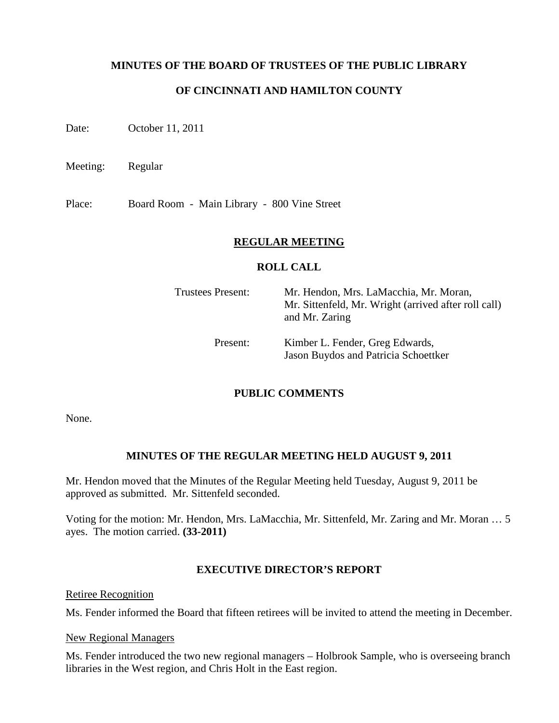## **MINUTES OF THE BOARD OF TRUSTEES OF THE PUBLIC LIBRARY**

## **OF CINCINNATI AND HAMILTON COUNTY**

Date: October 11, 2011

Meeting: Regular

Place: Board Room - Main Library - 800 Vine Street

### **REGULAR MEETING**

#### **ROLL CALL**

| <b>Trustees Present:</b> | Mr. Hendon, Mrs. LaMacchia, Mr. Moran,<br>Mr. Sittenfeld, Mr. Wright (arrived after roll call)<br>and Mr. Zaring |
|--------------------------|------------------------------------------------------------------------------------------------------------------|
| Present:                 | Kimber L. Fender, Greg Edwards,<br>Jason Buydos and Patricia Schoettker                                          |

## **PUBLIC COMMENTS**

None.

## **MINUTES OF THE REGULAR MEETING HELD AUGUST 9, 2011**

Mr. Hendon moved that the Minutes of the Regular Meeting held Tuesday, August 9, 2011 be approved as submitted. Mr. Sittenfeld seconded.

Voting for the motion: Mr. Hendon, Mrs. LaMacchia, Mr. Sittenfeld, Mr. Zaring and Mr. Moran … 5 ayes. The motion carried. **(33-2011)**

## **EXECUTIVE DIRECTOR'S REPORT**

Retiree Recognition

Ms. Fender informed the Board that fifteen retirees will be invited to attend the meeting in December.

#### New Regional Managers

Ms. Fender introduced the two new regional managers – Holbrook Sample, who is overseeing branch libraries in the West region, and Chris Holt in the East region.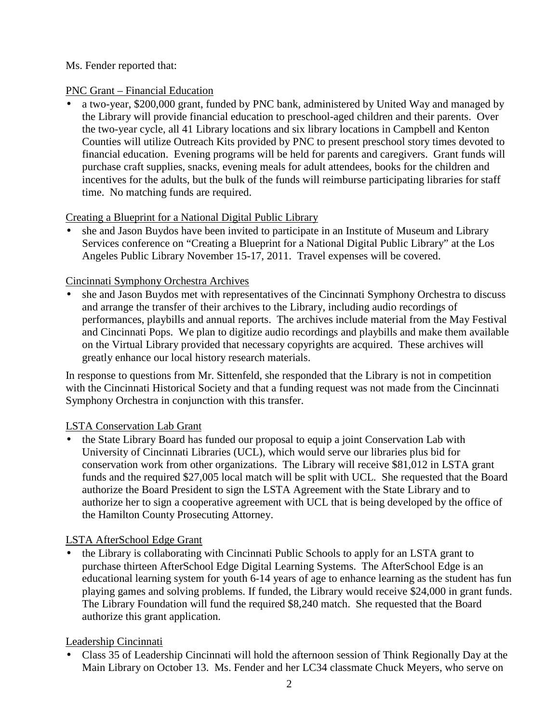# Ms. Fender reported that:

# PNC Grant – Financial Education

• a two-year, \$200,000 grant, funded by PNC bank, administered by United Way and managed by the Library will provide financial education to preschool-aged children and their parents. Over the two-year cycle, all 41 Library locations and six library locations in Campbell and Kenton Counties will utilize Outreach Kits provided by PNC to present preschool story times devoted to financial education. Evening programs will be held for parents and caregivers. Grant funds will purchase craft supplies, snacks, evening meals for adult attendees, books for the children and incentives for the adults, but the bulk of the funds will reimburse participating libraries for staff time. No matching funds are required.

# Creating a Blueprint for a National Digital Public Library

• she and Jason Buydos have been invited to participate in an Institute of Museum and Library Services conference on "Creating a Blueprint for a National Digital Public Library" at the Los Angeles Public Library November 15-17, 2011. Travel expenses will be covered.

# Cincinnati Symphony Orchestra Archives

• she and Jason Buydos met with representatives of the Cincinnati Symphony Orchestra to discuss and arrange the transfer of their archives to the Library, including audio recordings of performances, playbills and annual reports. The archives include material from the May Festival and Cincinnati Pops. We plan to digitize audio recordings and playbills and make them available on the Virtual Library provided that necessary copyrights are acquired. These archives will greatly enhance our local history research materials.

In response to questions from Mr. Sittenfeld, she responded that the Library is not in competition with the Cincinnati Historical Society and that a funding request was not made from the Cincinnati Symphony Orchestra in conjunction with this transfer.

# LSTA Conservation Lab Grant

• the State Library Board has funded our proposal to equip a joint Conservation Lab with University of Cincinnati Libraries (UCL), which would serve our libraries plus bid for conservation work from other organizations. The Library will receive \$81,012 in LSTA grant funds and the required \$27,005 local match will be split with UCL. She requested that the Board authorize the Board President to sign the LSTA Agreement with the State Library and to authorize her to sign a cooperative agreement with UCL that is being developed by the office of the Hamilton County Prosecuting Attorney.

# LSTA AfterSchool Edge Grant

• the Library is collaborating with Cincinnati Public Schools to apply for an LSTA grant to purchase thirteen AfterSchool Edge Digital Learning Systems. The AfterSchool Edge is an educational learning system for youth 6-14 years of age to enhance learning as the student has fun playing games and solving problems. If funded, the Library would receive \$24,000 in grant funds. The Library Foundation will fund the required \$8,240 match. She requested that the Board authorize this grant application.

# Leadership Cincinnati

• Class 35 of Leadership Cincinnati will hold the afternoon session of Think Regionally Day at the Main Library on October 13. Ms. Fender and her LC34 classmate Chuck Meyers, who serve on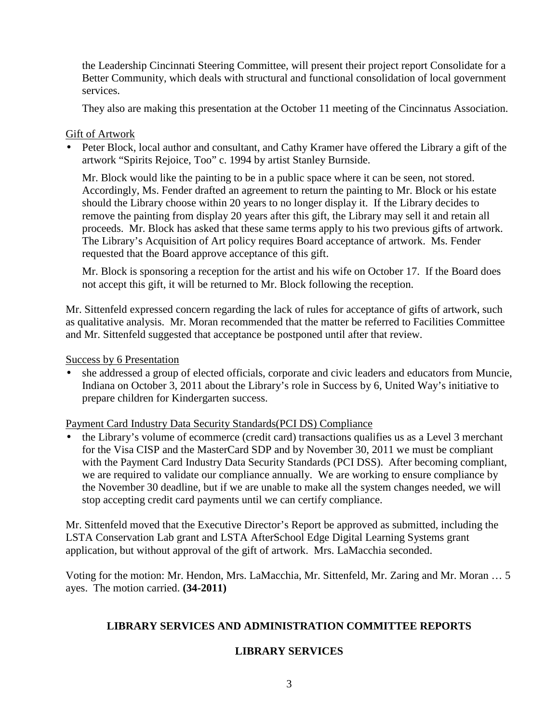the Leadership Cincinnati Steering Committee, will present their project report Consolidate for a Better Community, which deals with structural and functional consolidation of local government services.

They also are making this presentation at the October 11 meeting of the Cincinnatus Association.

## Gift of Artwork

• Peter Block, local author and consultant, and Cathy Kramer have offered the Library a gift of the artwork "Spirits Rejoice, Too" c. 1994 by artist Stanley Burnside.

Mr. Block would like the painting to be in a public space where it can be seen, not stored. Accordingly, Ms. Fender drafted an agreement to return the painting to Mr. Block or his estate should the Library choose within 20 years to no longer display it. If the Library decides to remove the painting from display 20 years after this gift, the Library may sell it and retain all proceeds. Mr. Block has asked that these same terms apply to his two previous gifts of artwork. The Library's Acquisition of Art policy requires Board acceptance of artwork. Ms. Fender requested that the Board approve acceptance of this gift.

Mr. Block is sponsoring a reception for the artist and his wife on October 17. If the Board does not accept this gift, it will be returned to Mr. Block following the reception.

Mr. Sittenfeld expressed concern regarding the lack of rules for acceptance of gifts of artwork, such as qualitative analysis. Mr. Moran recommended that the matter be referred to Facilities Committee and Mr. Sittenfeld suggested that acceptance be postponed until after that review.

Success by 6 Presentation

• she addressed a group of elected officials, corporate and civic leaders and educators from Muncie, Indiana on October 3, 2011 about the Library's role in Success by 6, United Way's initiative to prepare children for Kindergarten success.

Payment Card Industry Data Security Standards(PCI DS) Compliance

• the Library's volume of ecommerce (credit card) transactions qualifies us as a Level 3 merchant for the Visa CISP and the MasterCard SDP and by November 30, 2011 we must be compliant with the Payment Card Industry Data Security Standards (PCI DSS). After becoming compliant, we are required to validate our compliance annually. We are working to ensure compliance by the November 30 deadline, but if we are unable to make all the system changes needed, we will stop accepting credit card payments until we can certify compliance.

Mr. Sittenfeld moved that the Executive Director's Report be approved as submitted, including the LSTA Conservation Lab grant and LSTA AfterSchool Edge Digital Learning Systems grant application, but without approval of the gift of artwork. Mrs. LaMacchia seconded.

Voting for the motion: Mr. Hendon, Mrs. LaMacchia, Mr. Sittenfeld, Mr. Zaring and Mr. Moran … 5 ayes. The motion carried. **(34-2011)**

## **LIBRARY SERVICES AND ADMINISTRATION COMMITTEE REPORTS**

## **LIBRARY SERVICES**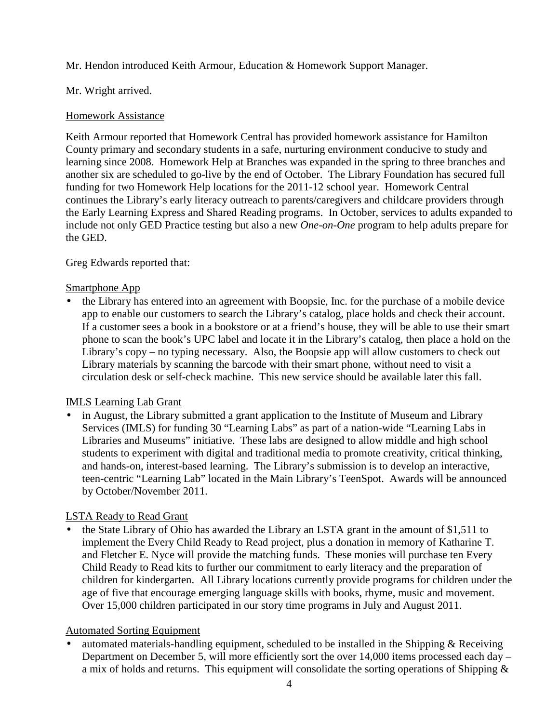Mr. Hendon introduced Keith Armour, Education & Homework Support Manager.

## Mr. Wright arrived.

## Homework Assistance

Keith Armour reported that Homework Central has provided homework assistance for Hamilton County primary and secondary students in a safe, nurturing environment conducive to study and learning since 2008. Homework Help at Branches was expanded in the spring to three branches and another six are scheduled to go-live by the end of October. The Library Foundation has secured full funding for two Homework Help locations for the 2011-12 school year. Homework Central continues the Library's early literacy outreach to parents/caregivers and childcare providers through the Early Learning Express and Shared Reading programs. In October, services to adults expanded to include not only GED Practice testing but also a new *One-on-One* program to help adults prepare for the GED.

Greg Edwards reported that:

## Smartphone App

• the Library has entered into an agreement with Boopsie, Inc. for the purchase of a mobile device app to enable our customers to search the Library's catalog, place holds and check their account. If a customer sees a book in a bookstore or at a friend's house, they will be able to use their smart phone to scan the book's UPC label and locate it in the Library's catalog, then place a hold on the Library's copy – no typing necessary. Also, the Boopsie app will allow customers to check out Library materials by scanning the barcode with their smart phone, without need to visit a circulation desk or self-check machine. This new service should be available later this fall.

## IMLS Learning Lab Grant

• in August, the Library submitted a grant application to the Institute of Museum and Library Services (IMLS) for funding 30 "Learning Labs" as part of a nation-wide "Learning Labs in Libraries and Museums" initiative. These labs are designed to allow middle and high school students to experiment with digital and traditional media to promote creativity, critical thinking, and hands-on, interest-based learning. The Library's submission is to develop an interactive, teen-centric "Learning Lab" located in the Main Library's TeenSpot. Awards will be announced by October/November 2011.

## LSTA Ready to Read Grant

• the State Library of Ohio has awarded the Library an LSTA grant in the amount of \$1,511 to implement the Every Child Ready to Read project, plus a donation in memory of Katharine T. and Fletcher E. Nyce will provide the matching funds. These monies will purchase ten Every Child Ready to Read kits to further our commitment to early literacy and the preparation of children for kindergarten. All Library locations currently provide programs for children under the age of five that encourage emerging language skills with books, rhyme, music and movement. Over 15,000 children participated in our story time programs in July and August 2011.

## Automated Sorting Equipment

automated materials-handling equipment, scheduled to be installed in the Shipping  $&$  Receiving Department on December 5, will more efficiently sort the over 14,000 items processed each day – a mix of holds and returns. This equipment will consolidate the sorting operations of Shipping  $\&$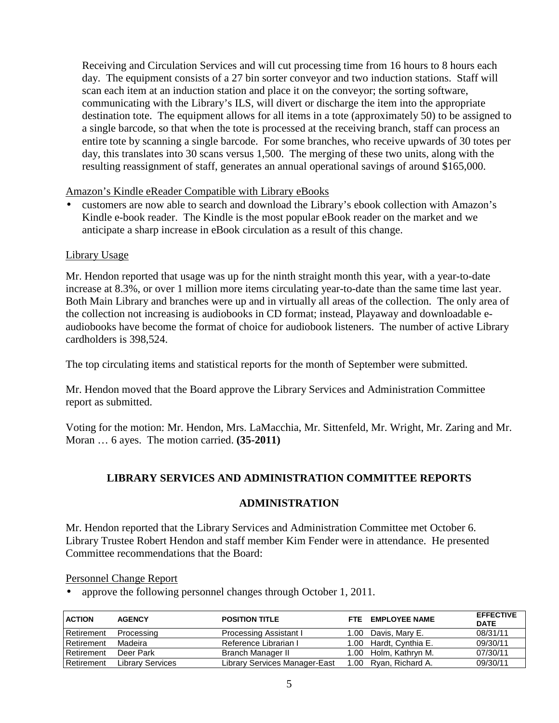Receiving and Circulation Services and will cut processing time from 16 hours to 8 hours each day. The equipment consists of a 27 bin sorter conveyor and two induction stations. Staff will scan each item at an induction station and place it on the conveyor; the sorting software, communicating with the Library's ILS, will divert or discharge the item into the appropriate destination tote. The equipment allows for all items in a tote (approximately 50) to be assigned to a single barcode, so that when the tote is processed at the receiving branch, staff can process an entire tote by scanning a single barcode. For some branches, who receive upwards of 30 totes per day, this translates into 30 scans versus 1,500. The merging of these two units, along with the resulting reassignment of staff, generates an annual operational savings of around \$165,000.

Amazon's Kindle eReader Compatible with Library eBooks

• customers are now able to search and download the Library's ebook collection with Amazon's Kindle e-book reader. The Kindle is the most popular eBook reader on the market and we anticipate a sharp increase in eBook circulation as a result of this change.

## Library Usage

Mr. Hendon reported that usage was up for the ninth straight month this year, with a year-to-date increase at 8.3%, or over 1 million more items circulating year-to-date than the same time last year. Both Main Library and branches were up and in virtually all areas of the collection. The only area of the collection not increasing is audiobooks in CD format; instead, Playaway and downloadable eaudiobooks have become the format of choice for audiobook listeners. The number of active Library cardholders is 398,524.

The top circulating items and statistical reports for the month of September were submitted.

Mr. Hendon moved that the Board approve the Library Services and Administration Committee report as submitted.

Voting for the motion: Mr. Hendon, Mrs. LaMacchia, Mr. Sittenfeld, Mr. Wright, Mr. Zaring and Mr. Moran … 6 ayes. The motion carried. **(35-2011)**

# **LIBRARY SERVICES AND ADMINISTRATION COMMITTEE REPORTS**

## **ADMINISTRATION**

Mr. Hendon reported that the Library Services and Administration Committee met October 6. Library Trustee Robert Hendon and staff member Kim Fender were in attendance. He presented Committee recommendations that the Board:

## Personnel Change Report

• approve the following personnel changes through October 1, 2011.

| <b>ACTION</b>     | <b>AGENCY</b>           | <b>POSITION TITLE</b>         | FTF. | <b>EMPLOYEE NAME</b>   | <b>EFFECTIVE</b><br><b>DATE</b> |
|-------------------|-------------------------|-------------------------------|------|------------------------|---------------------------------|
| <b>Retirement</b> | Processing              | <b>Processing Assistant I</b> |      | 1.00 Davis, Mary E.    | 08/31/11                        |
| <b>Retirement</b> | Madeira                 | Reference Librarian I         |      | 1.00 Hardt, Cynthia E. | 09/30/11                        |
| <b>Retirement</b> | Deer Park               | Branch Manager II             |      | 1.00 Holm. Kathryn M.  | 07/30/11                        |
| Retirement        | <b>Library Services</b> | Library Services Manager-East |      | 1.00 Ryan, Richard A.  | 09/30/11                        |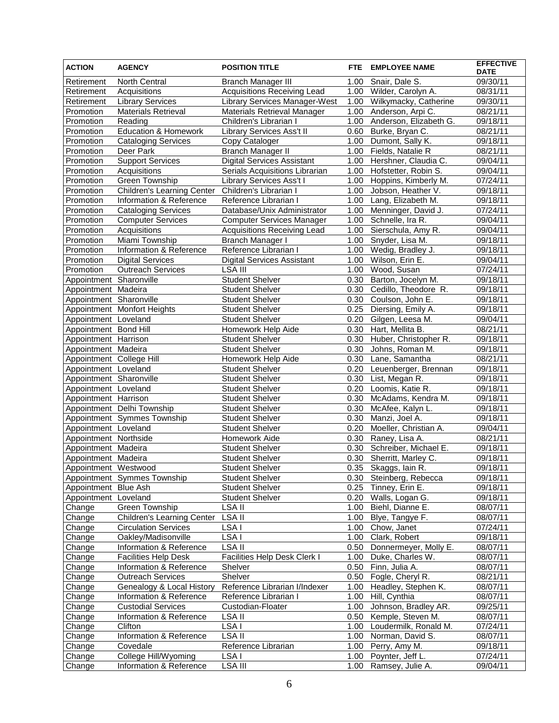| <b>ACTION</b>                                 | <b>AGENCY</b>                                        | <b>POSITION TITLE</b>                                  | <b>FTE</b>   | <b>EMPLOYEE NAME</b>                   | <b>EFFECTIVE</b><br><b>DATE</b> |
|-----------------------------------------------|------------------------------------------------------|--------------------------------------------------------|--------------|----------------------------------------|---------------------------------|
| Retirement                                    | North Central                                        | <b>Branch Manager III</b>                              | 1.00         | Snair, Dale S.                         | $\overline{09/3}0/11$           |
| Retirement                                    | Acquisitions                                         | <b>Acquisitions Receiving Lead</b>                     | 1.00         | Wilder, Carolyn A.                     | 08/31/11                        |
| Retirement                                    | <b>Library Services</b>                              | <b>Library Services Manager-West</b>                   | 1.00         | Wilkymacky, Catherine                  | 09/30/11                        |
| Promotion                                     | Materials Retrieval                                  | Materials Retrieval Manager                            | 1.00         | Anderson, Arpi C.                      | 08/21/11                        |
| Promotion                                     | Reading                                              | Children's Librarian I                                 | 1.00         | Anderson, Elizabeth G.                 | 09/18/11                        |
| Promotion                                     | <b>Education &amp; Homework</b>                      | Library Services Ass't II                              | 0.60         | Burke, Bryan C.                        | 08/21/11                        |
| Promotion                                     | <b>Cataloging Services</b>                           | Copy Cataloger                                         |              | 1.00 Dumont, Sally K.                  | 09/18/11                        |
| Promotion                                     | Deer Park                                            | <b>Branch Manager II</b>                               | 1.00         | Fields, Natalie R                      | 08/21/11                        |
| Promotion                                     | <b>Support Services</b>                              | <b>Digital Services Assistant</b>                      | 1.00         | Hershner, Claudia C.                   | 09/04/11                        |
| Promotion                                     | Acquisitions                                         | Serials Acquisitions Librarian                         | 1.00         | Hofstetter, Robin S.                   | 09/04/11                        |
| Promotion                                     | Green Township                                       | Library Services Ass't I                               | 1.00         | Hoppins, Kimberly M.                   | 07/24/11                        |
| Promotion                                     | Children's Learning Center Children's Librarian I    |                                                        | 1.00         | Jobson, Heather V.                     | 09/18/11                        |
| Promotion                                     | Information & Reference                              | Reference Librarian I                                  | 1.00         | Lang, Elizabeth M.                     | 09/18/11                        |
| Promotion                                     | <b>Cataloging Services</b>                           | Database/Unix Administrator                            | 1.00         | Menninger, David J.                    | 07/24/11                        |
| Promotion                                     | Computer Services                                    | <b>Computer Services Manager</b>                       | 1.00         | Schnelle, Ira R.                       | 09/04/11                        |
| Promotion                                     | Acquisitions                                         | Acquisitions Receiving Lead                            | 1.00         | Sierschula, Amy R.                     | 09/04/11                        |
| Promotion                                     | Miami Township                                       | <b>Branch Manager I</b>                                | 1.00         | Snyder, Lisa M.                        | 09/18/11                        |
| Promotion                                     | Information & Reference                              | Reference Librarian I                                  | 1.00         | Wedig, Bradley J.                      | 09/18/11                        |
| Promotion                                     | <b>Digital Services</b>                              | <b>Digital Services Assistant</b>                      | 1.00         | Wilson, Erin E.                        | 09/04/11                        |
| Promotion                                     | <b>Outreach Services</b>                             | <b>LSA III</b>                                         | 1.00         | Wood, Susan                            | 07/24/11                        |
| Appointment Sharonville                       |                                                      | <b>Student Shelver</b>                                 | 0.30         | Barton, Jocelyn M.                     | 09/18/11                        |
| Appointment Madeira                           |                                                      | <b>Student Shelver</b>                                 | 0.30         | Cedillo, Theodore R.                   | 09/18/11                        |
| Appointment Sharonville                       |                                                      | <b>Student Shelver</b>                                 | 0.30         | Coulson, John E.                       | 09/18/11                        |
|                                               | Appointment Monfort Heights                          | <b>Student Shelver</b>                                 | 0.25         | Diersing, Emily A.<br>Gilgen, Leesa M. | 09/18/11                        |
| Appointment Loveland<br>Appointment Bond Hill |                                                      | <b>Student Shelver</b><br>Homework Help Aide           | 0.20<br>0.30 | Hart, Mellita B.                       | 09/04/11                        |
| Appointment Harrison                          |                                                      | <b>Student Shelver</b>                                 | 0.30         | Huber, Christopher R.                  | 08/21/11<br>09/18/11            |
| Appointment Madeira                           |                                                      | <b>Student Shelver</b>                                 | 0.30         | Johns, Roman M.                        | 09/18/11                        |
| Appointment College Hill                      |                                                      | Homework Help Aide                                     | 0.30         | Lane, Samantha                         | 08/21/11                        |
| Appointment Loveland                          |                                                      | <b>Student Shelver</b>                                 | 0.20         | Leuenberger, Brennan                   | 09/18/11                        |
| Appointment Sharonville                       |                                                      | <b>Student Shelver</b>                                 | 0.30         | List, Megan R.                         | 09/18/11                        |
| Appointment Loveland                          |                                                      | <b>Student Shelver</b>                                 | 0.20         | Loomis, Katie R.                       | 09/18/11                        |
| Appointment Harrison                          |                                                      | <b>Student Shelver</b>                                 | 0.30         | McAdams, Kendra M.                     | 09/18/11                        |
|                                               | Appointment Delhi Township                           | Student Shelver                                        | 0.30         | McAfee, Kalyn L.                       | 09/18/11                        |
|                                               | Appointment Symmes Township                          | <b>Student Shelver</b>                                 | 0.30         | Manzi, Joel A.                         | 09/18/11                        |
| Appointment Loveland                          |                                                      | <b>Student Shelver</b>                                 | 0.20         | Moeller, Christian A.                  | 09/04/11                        |
| Appointment Northside                         |                                                      | Homework Aide                                          | 0.30         | Raney, Lisa A.                         | 08/21/11                        |
| Appointment Madeira                           |                                                      | <b>Student Shelver</b>                                 |              | 0.30 Schreiber, Michael E.             | 09/18/11                        |
| Appointment Madeira                           |                                                      | Student Shelver                                        | 0.30         | Sherritt, Marley C.                    | 09/18/11                        |
| Appointment Westwood                          |                                                      | <b>Student Shelver</b>                                 |              | 0.35 Skaggs, lain R.                   | 09/18/11                        |
|                                               | Appointment Symmes Township                          | <b>Student Shelver</b>                                 |              | 0.30 Steinberg, Rebecca                | 09/18/11                        |
| Appointment Blue Ash                          |                                                      | <b>Student Shelver</b>                                 | 0.25         | Tinney, Erin E.                        | 09/18/11                        |
| Appointment Loveland                          |                                                      | <b>Student Shelver</b>                                 | 0.20         | Walls, Logan G.                        | 09/18/11                        |
| Change                                        | Green Township                                       | LSA II                                                 | 1.00         | Biehl, Dianne E.                       | 08/07/11                        |
| Change                                        | <b>Children's Learning Center</b>                    | LSA II                                                 | 1.00         | Blye, Tangye F.                        | 08/07/11                        |
| Change                                        | <b>Circulation Services</b>                          | LSA I                                                  | 1.00         | Chow, Janet                            | 07/24/11                        |
| Change                                        | Oakley/Madisonville                                  | LSA I                                                  | 1.00         | Clark, Robert                          | 09/18/11                        |
| Change                                        | Information & Reference                              | LSA II                                                 | 0.50         | Donnermeyer, Molly E.                  | 08/07/11                        |
| Change                                        | <b>Facilities Help Desk</b>                          | Facilities Help Desk Clerk I                           | 1.00         | Duke, Charles W.                       | 08/07/11                        |
| Change                                        | Information & Reference                              | Shelver                                                | 0.50         | Finn, Julia A.                         | $\frac{08}{07/11}$              |
| Change                                        | <b>Outreach Services</b>                             | Shelver                                                | 0.50         | Fogle, Cheryl R.                       | 08/21/11                        |
| Change                                        | Genealogy & Local History<br>Information & Reference | Reference Librarian I/Indexer<br>Reference Librarian I | 1.00<br>1.00 | Headley, Stephen K.<br>Hill, Cynthia   | 08/07/11<br>08/07/11            |
| Change<br>Change                              | <b>Custodial Services</b>                            | Custodian-Floater                                      | 1.00         | Johnson, Bradley AR.                   | 09/25/11                        |
| Change                                        | Information & Reference                              | LSA II                                                 | 0.50         | Kemple, Steven M.                      | 08/07/11                        |
| Change                                        | Clifton                                              | LSA I                                                  | 1.00         | Loudermilk, Ronald M.                  | 07/24/11                        |
| Change                                        | Information & Reference                              | LSA II                                                 | 1.00         | Norman, David S.                       | 08/07/11                        |
| Change                                        | Covedale                                             | Reference Librarian                                    |              | 1.00 Perry, Amy M.                     | 09/18/11                        |
| Change                                        | College Hill/Wyoming                                 | LSA I                                                  |              | 1.00 Poynter, Jeff L.                  | 07/24/11                        |
| Change                                        | Information & Reference                              | $\overline{\text{LSA}}$ III                            |              | 1.00 Ramsey, Julie A.                  | 09/04/11                        |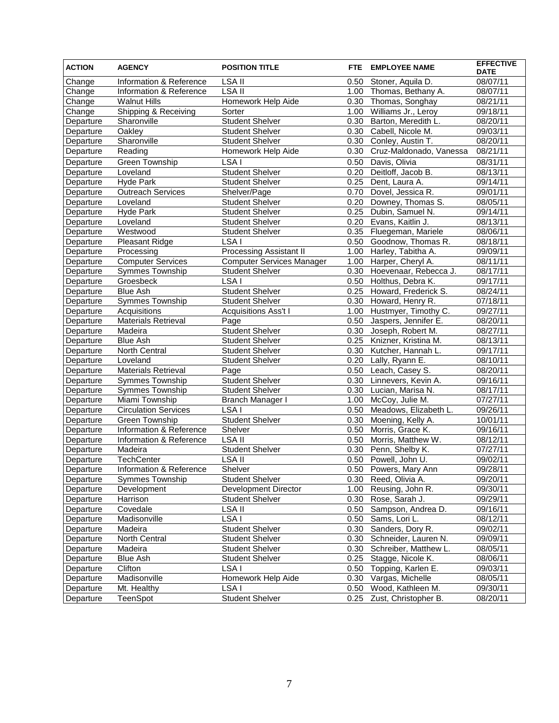| <b>ACTION</b> | <b>AGENCY</b>               | <b>POSITION TITLE</b>            | <b>FTE</b> | <b>EMPLOYEE NAME</b>      | <b>EFFECTIVE</b><br><b>DATE</b> |
|---------------|-----------------------------|----------------------------------|------------|---------------------------|---------------------------------|
| Change        | Information & Reference     | LSA <sub>II</sub>                | 0.50       | Stoner, Aquila D.         | 08/07/11                        |
| Change        | Information & Reference     | LSA II                           |            | 1.00 Thomas, Bethany A.   | 08/07/11                        |
| Change        | <b>Walnut Hills</b>         | Homework Help Aide               | 0.30       | Thomas, Songhay           | 08/21/11                        |
| Change        | Shipping & Receiving        | Sorter                           | 1.00       | Williams Jr., Leroy       | 09/18/11                        |
| Departure     | Sharonville                 | <b>Student Shelver</b>           | 0.30       | Barton, Meredith L.       | 08/20/11                        |
| Departure     | Oakley                      | Student Shelver                  | 0.30       | Cabell, Nicole M.         | 09/03/11                        |
| Departure     | Sharonville                 | <b>Student Shelver</b>           |            | 0.30 Conley, Austin T.    | 08/20/11                        |
| Departure     | Reading                     | Homework Help Aide               | 0.30       | Cruz-Maldonado, Vanessa   | 08/21/11                        |
| Departure     | Green Township              | LSA <sub>I</sub>                 | 0.50       | Davis, Olivia             | 08/31/11                        |
| Departure     | Loveland                    | <b>Student Shelver</b>           | 0.20       | Deitloff, Jacob B.        | 08/13/11                        |
| Departure     | Hyde Park                   | <b>Student Shelver</b>           | 0.25       | Dent, Laura A.            | 09/14/11                        |
| Departure     | <b>Outreach Services</b>    | Shelver/Page                     | 0.70       | Dovel, Jessica R.         | 09/01/11                        |
| Departure     | Loveland                    | <b>Student Shelver</b>           | 0.20       | Downey, Thomas S.         | 08/05/11                        |
| Departure     | Hyde Park                   | <b>Student Shelver</b>           | 0.25       | Dubin, Samuel N.          | 09/14/11                        |
| Departure     | Loveland                    | <b>Student Shelver</b>           | 0.20       | Evans, Kaitlin J.         | 08/13/11                        |
| Departure     | Westwood                    | <b>Student Shelver</b>           |            | 0.35 Fluegeman, Mariele   | 08/06/11                        |
| Departure     | Pleasant Ridge              | LSA I                            | 0.50       | Goodnow, Thomas R.        | 08/18/11                        |
| Departure     | Processing                  | <b>Processing Assistant II</b>   | 1.00       | Harley, Tabitha A.        | 09/09/11                        |
| Departure     | Computer Services           | <b>Computer Services Manager</b> |            | 1.00 Harper, Cheryl A.    | 08/11/11                        |
| Departure     | Symmes Township             | <b>Student Shelver</b>           | 0.30       | Hoevenaar, Rebecca J.     | 08/17/11                        |
| Departure     | Groesbeck                   | LSA I                            | 0.50       | Holthus, Debra K.         | 09/17/11                        |
| Departure     | <b>Blue Ash</b>             | <b>Student Shelver</b>           | 0.25       | Howard, Frederick S.      | 08/24/11                        |
| Departure     | Symmes Township             | Student Shelver                  | 0.30       | Howard, Henry R.          | 07/18/11                        |
| Departure     | Acquisitions                | <b>Acquisitions Ass't I</b>      |            | 1.00 Hustmyer, Timothy C. | 09/27/11                        |
| Departure     | Materials Retrieval         | Page                             | 0.50       | Jaspers, Jennifer E.      | 08/20/11                        |
| Departure     | Madeira                     | <b>Student Shelver</b>           | 0.30       | Joseph, Robert M.         | 08/27/11                        |
| Departure     | <b>Blue Ash</b>             | <b>Student Shelver</b>           | 0.25       | Knizner, Kristina M.      | 08/13/11                        |
| Departure     | North Central               | <b>Student Shelver</b>           | 0.30       | Kutcher, Hannah L.        | 09/17/11                        |
| Departure     | Loveland                    | <b>Student Shelver</b>           | 0.20       | Lally, Ryann E.           | 08/10/11                        |
| Departure     | <b>Materials Retrieval</b>  | Page                             | 0.50       | Leach, Casey S.           | 08/20/11                        |
| Departure     | <b>Symmes Township</b>      | <b>Student Shelver</b>           | 0.30       | Linnevers, Kevin A.       | 09/16/11                        |
| Departure     | Symmes Township             | <b>Student Shelver</b>           | 0.30       | Lucian, Marisa N.         | 08/17/11                        |
| Departure     | Miami Township              | Branch Manager I                 | 1.00       | McCoy, Julie M.           | 07/27/11                        |
| Departure     | <b>Circulation Services</b> | LSA I                            | 0.50       | Meadows, Elizabeth L.     | 09/26/11                        |
| Departure     | Green Township              | <b>Student Shelver</b>           | 0.30       | Moening, Kelly A.         | 10/01/11                        |
| Departure     | Information & Reference     | Shelver                          | 0.50       | Morris, Grace K.          | 09/16/11                        |
| Departure     | Information & Reference     | LSA II                           | 0.50       | Morris, Matthew W.        | 08/12/11                        |
| Departure     | Madeira                     | <b>Student Shelver</b>           |            | 0.30 Penn, Shelby K.      | 07/27/11                        |
| Departure     | TechCenter                  | <b>LSA II</b>                    |            | 0.50 Powell, John U.      | 09/02/11                        |
| Departure     | Information & Reference     | Shelver                          |            | 0.50 Powers, Mary Ann     | 09/28/11                        |
| Departure     | Symmes Township             | <b>Student Shelver</b>           |            | 0.30 Reed, Olivia A.      | 09/20/11                        |
| Departure     | Development                 | Development Director             | 1.00       | Reusing, John R.          | 09/30/11                        |
| Departure     | Harrison                    | <b>Student Shelver</b>           | 0.30       | Rose, Sarah J.            | 09/29/11                        |
| Departure     | Covedale                    | LSA II                           | 0.50       | Sampson, Andrea D.        | 09/16/11                        |
| Departure     | Madisonville                | LSA I                            | 0.50       | Sams, Lori L.             | 08/12/11                        |
| Departure     | Madeira                     | <b>Student Shelver</b>           | 0.30       | Sanders, Dory R.          | 09/02/11                        |
| Departure     | North Central               | <b>Student Shelver</b>           | 0.30       | Schneider, Lauren N.      | 09/09/11                        |
| Departure     | Madeira                     | <b>Student Shelver</b>           | 0.30       | Schreiber, Matthew L.     | 08/05/11                        |
| Departure     | <b>Blue Ash</b>             | <b>Student Shelver</b>           | 0.25       | Stagge, Nicole K.         | 08/06/11                        |
| Departure     | Clifton                     | LSA I                            | 0.50       | Topping, Karlen E.        | 09/03/11                        |
| Departure     | Madisonville                | Homework Help Aide               | 0.30       | Vargas, Michelle          | 08/05/11                        |
| Departure     | Mt. Healthy                 | LSA I                            | 0.50       | Wood, Kathleen M.         | 09/30/11                        |
| Departure     | TeenSpot                    | <b>Student Shelver</b>           | 0.25       | Zust, Christopher B.      | 08/20/11                        |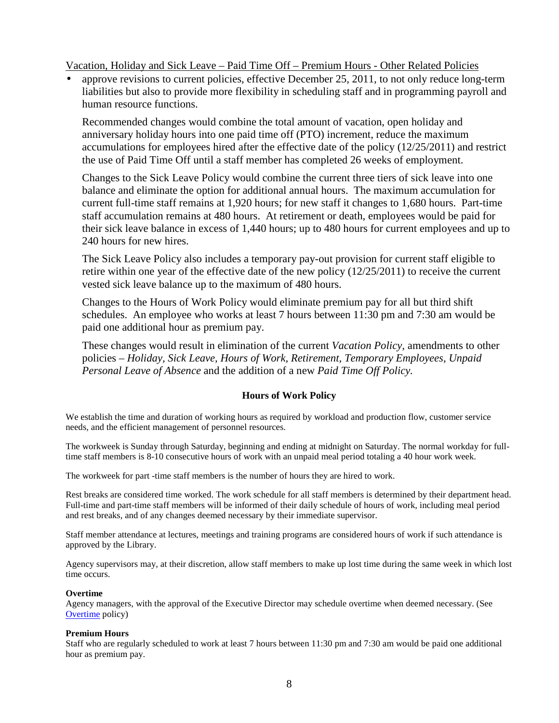Vacation, Holiday and Sick Leave – Paid Time Off – Premium Hours - Other Related Policies

• approve revisions to current policies, effective December 25, 2011, to not only reduce long-term liabilities but also to provide more flexibility in scheduling staff and in programming payroll and human resource functions.

Recommended changes would combine the total amount of vacation, open holiday and anniversary holiday hours into one paid time off (PTO) increment, reduce the maximum accumulations for employees hired after the effective date of the policy (12/25/2011) and restrict the use of Paid Time Off until a staff member has completed 26 weeks of employment.

Changes to the Sick Leave Policy would combine the current three tiers of sick leave into one balance and eliminate the option for additional annual hours. The maximum accumulation for current full-time staff remains at 1,920 hours; for new staff it changes to 1,680 hours. Part-time staff accumulation remains at 480 hours. At retirement or death, employees would be paid for their sick leave balance in excess of 1,440 hours; up to 480 hours for current employees and up to 240 hours for new hires.

The Sick Leave Policy also includes a temporary pay-out provision for current staff eligible to retire within one year of the effective date of the new policy (12/25/2011) to receive the current vested sick leave balance up to the maximum of 480 hours.

Changes to the Hours of Work Policy would eliminate premium pay for all but third shift schedules. An employee who works at least 7 hours between 11:30 pm and 7:30 am would be paid one additional hour as premium pay.

These changes would result in elimination of the current *Vacation Policy,* amendments to other policies – *Holiday, Sick Leave, Hours of Work, Retirement, Temporary Employees, Unpaid Personal Leave of Absence* and the addition of a new *Paid Time Off Policy.* 

## **Hours of Work Policy**

We establish the time and duration of working hours as required by workload and production flow, customer service needs, and the efficient management of personnel resources.

The workweek is Sunday through Saturday, beginning and ending at midnight on Saturday. The normal workday for fulltime staff members is 8-10 consecutive hours of work with an unpaid meal period totaling a 40 hour work week.

The workweek for part -time staff members is the number of hours they are hired to work.

Rest breaks are considered time worked. The work schedule for all staff members is determined by their department head. Full-time and part-time staff members will be informed of their daily schedule of hours of work, including meal period and rest breaks, and of any changes deemed necessary by their immediate supervisor.

Staff member attendance at lectures, meetings and training programs are considered hours of work if such attendance is approved by the Library.

Agency supervisors may, at their discretion, allow staff members to make up lost time during the same week in which lost time occurs.

#### **Overtime**

Agency managers, with the approval of the Executive Director may schedule overtime when deemed necessary. (See Overtime policy)

#### **Premium Hours**

Staff who are regularly scheduled to work at least 7 hours between 11:30 pm and 7:30 am would be paid one additional hour as premium pay.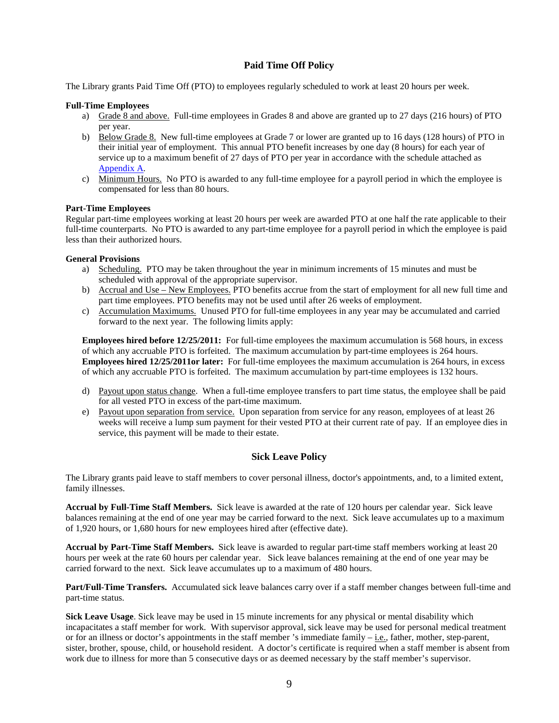#### **Paid Time Off Policy**

The Library grants Paid Time Off (PTO) to employees regularly scheduled to work at least 20 hours per week.

#### **Full-Time Employees**

- a) Grade 8 and above. Full-time employees in Grades 8 and above are granted up to 27 days (216 hours) of PTO per year.
- b) Below Grade 8. New full-time employees at Grade 7 or lower are granted up to 16 days (128 hours) of PTO in their initial year of employment. This annual PTO benefit increases by one day (8 hours) for each year of service up to a maximum benefit of 27 days of PTO per year in accordance with the schedule attached as Appendix A.
- c) Minimum Hours. No PTO is awarded to any full-time employee for a payroll period in which the employee is compensated for less than 80 hours.

#### **Part-Time Employees**

Regular part-time employees working at least 20 hours per week are awarded PTO at one half the rate applicable to their full-time counterparts. No PTO is awarded to any part-time employee for a payroll period in which the employee is paid less than their authorized hours.

#### **General Provisions**

- a) Scheduling. PTO may be taken throughout the year in minimum increments of 15 minutes and must be scheduled with approval of the appropriate supervisor.
- b) Accrual and Use New Employees. PTO benefits accrue from the start of employment for all new full time and part time employees. PTO benefits may not be used until after 26 weeks of employment.
- c) Accumulation Maximums. Unused PTO for full-time employees in any year may be accumulated and carried forward to the next year. The following limits apply:

**Employees hired before 12/25/2011:** For full-time employees the maximum accumulation is 568 hours, in excess of which any accruable PTO is forfeited. The maximum accumulation by part-time employees is 264 hours. **Employees hired 12/25/2011or later:** For full-time employees the maximum accumulation is 264 hours, in excess of which any accruable PTO is forfeited. The maximum accumulation by part-time employees is 132 hours.

- d) Payout upon status change. When a full-time employee transfers to part time status, the employee shall be paid for all vested PTO in excess of the part-time maximum.
- e) Payout upon separation from service. Upon separation from service for any reason, employees of at least 26 weeks will receive a lump sum payment for their vested PTO at their current rate of pay. If an employee dies in service, this payment will be made to their estate.

#### **Sick Leave Policy**

The Library grants paid leave to staff members to cover personal illness, doctor's appointments, and, to a limited extent, family illnesses.

**Accrual by Full-Time Staff Members.** Sick leave is awarded at the rate of 120 hours per calendar year. Sick leave balances remaining at the end of one year may be carried forward to the next. Sick leave accumulates up to a maximum of 1,920 hours, or 1,680 hours for new employees hired after (effective date).

**Accrual by Part-Time Staff Members.** Sick leave is awarded to regular part-time staff members working at least 20 hours per week at the rate 60 hours per calendar year. Sick leave balances remaining at the end of one year may be carried forward to the next. Sick leave accumulates up to a maximum of 480 hours.

**Part/Full-Time Transfers.** Accumulated sick leave balances carry over if a staff member changes between full-time and part-time status.

**Sick Leave Usage**. Sick leave may be used in 15 minute increments for any physical or mental disability which incapacitates a staff member for work. With supervisor approval, sick leave may be used for personal medical treatment or for an illness or doctor's appointments in the staff member 's immediate family  $-$  *i.e.*, father, mother, step-parent, sister, brother, spouse, child, or household resident. A doctor's certificate is required when a staff member is absent from work due to illness for more than 5 consecutive days or as deemed necessary by the staff member's supervisor.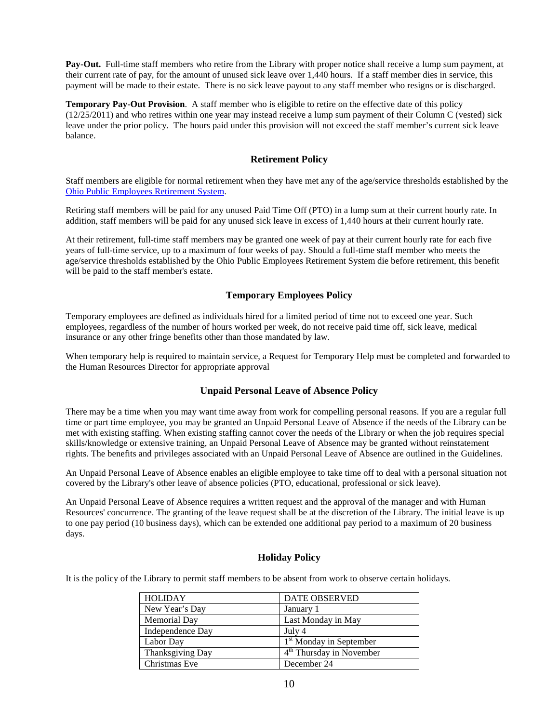**Pay-Out.** Full-time staff members who retire from the Library with proper notice shall receive a lump sum payment, at their current rate of pay, for the amount of unused sick leave over 1,440 hours. If a staff member dies in service, this payment will be made to their estate. There is no sick leave payout to any staff member who resigns or is discharged.

**Temporary Pay-Out Provision**. A staff member who is eligible to retire on the effective date of this policy (12/25/2011) and who retires within one year may instead receive a lump sum payment of their Column C (vested) sick leave under the prior policy. The hours paid under this provision will not exceed the staff member's current sick leave balance.

#### **Retirement Policy**

Staff members are eligible for normal retirement when they have met any of the age/service thresholds established by the Ohio Public Employees Retirement System.

Retiring staff members will be paid for any unused Paid Time Off (PTO) in a lump sum at their current hourly rate. In addition, staff members will be paid for any unused sick leave in excess of 1,440 hours at their current hourly rate.

At their retirement, full-time staff members may be granted one week of pay at their current hourly rate for each five years of full-time service, up to a maximum of four weeks of pay. Should a full-time staff member who meets the age/service thresholds established by the Ohio Public Employees Retirement System die before retirement, this benefit will be paid to the staff member's estate.

#### **Temporary Employees Policy**

Temporary employees are defined as individuals hired for a limited period of time not to exceed one year. Such employees, regardless of the number of hours worked per week, do not receive paid time off, sick leave, medical insurance or any other fringe benefits other than those mandated by law.

When temporary help is required to maintain service, a Request for Temporary Help must be completed and forwarded to the Human Resources Director for appropriate approval

#### **Unpaid Personal Leave of Absence Policy**

There may be a time when you may want time away from work for compelling personal reasons. If you are a regular full time or part time employee, you may be granted an Unpaid Personal Leave of Absence if the needs of the Library can be met with existing staffing. When existing staffing cannot cover the needs of the Library or when the job requires special skills/knowledge or extensive training, an Unpaid Personal Leave of Absence may be granted without reinstatement rights. The benefits and privileges associated with an Unpaid Personal Leave of Absence are outlined in the Guidelines.

An Unpaid Personal Leave of Absence enables an eligible employee to take time off to deal with a personal situation not covered by the Library's other leave of absence policies (PTO, educational, professional or sick leave).

An Unpaid Personal Leave of Absence requires a written request and the approval of the manager and with Human Resources' concurrence. The granting of the leave request shall be at the discretion of the Library. The initial leave is up to one pay period (10 business days), which can be extended one additional pay period to a maximum of 20 business days.

#### **Holiday Policy**

It is the policy of the Library to permit staff members to be absent from work to observe certain holidays.

| <b>HOLIDAY</b>   | <b>DATE OBSERVED</b>                 |
|------------------|--------------------------------------|
| New Year's Day   | January 1                            |
| Memorial Day     | Last Monday in May                   |
| Independence Day | July 4                               |
| Labor Day        | 1 <sup>st</sup> Monday in September  |
| Thanksgiving Day | 4 <sup>th</sup> Thursday in November |
| Christmas Eve    | December 24                          |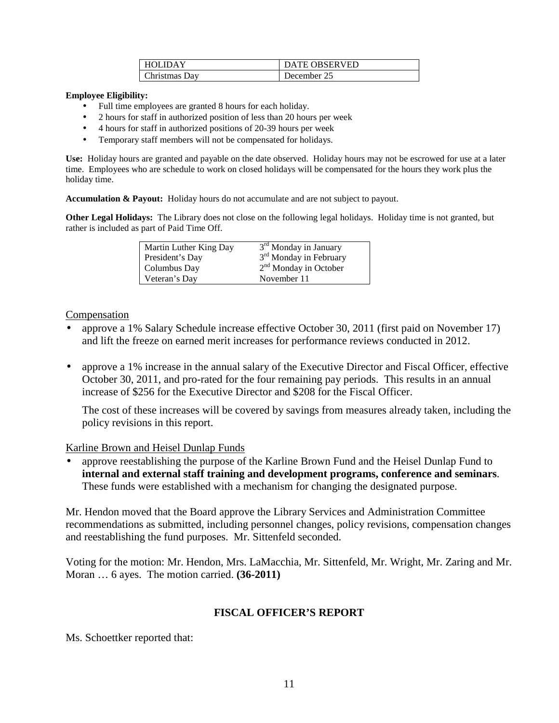| <b>HOLIDAY</b> | <b>DATE OBSERVED</b> |
|----------------|----------------------|
| Christmas Dav  | December 25          |

#### **Employee Eligibility:**

- Full time employees are granted 8 hours for each holiday.
- 2 hours for staff in authorized position of less than 20 hours per week
- 4 hours for staff in authorized positions of 20-39 hours per week
- Temporary staff members will not be compensated for holidays.

**Use:** Holiday hours are granted and payable on the date observed. Holiday hours may not be escrowed for use at a later time. Employees who are schedule to work on closed holidays will be compensated for the hours they work plus the holiday time.

**Accumulation & Payout:** Holiday hours do not accumulate and are not subject to payout.

**Other Legal Holidays:** The Library does not close on the following legal holidays. Holiday time is not granted, but rather is included as part of Paid Time Off.

| Martin Luther King Day | 3 <sup>rd</sup> Monday in January  |
|------------------------|------------------------------------|
| President's Day        | 3 <sup>rd</sup> Monday in February |
| Columbus Day           | $2nd$ Monday in October            |
| Veteran's Day          | November 11                        |

## Compensation

- approve a 1% Salary Schedule increase effective October 30, 2011 (first paid on November 17) and lift the freeze on earned merit increases for performance reviews conducted in 2012.
- approve a 1% increase in the annual salary of the Executive Director and Fiscal Officer, effective October 30, 2011, and pro-rated for the four remaining pay periods. This results in an annual increase of \$256 for the Executive Director and \$208 for the Fiscal Officer.

The cost of these increases will be covered by savings from measures already taken, including the policy revisions in this report.

## Karline Brown and Heisel Dunlap Funds

• approve reestablishing the purpose of the Karline Brown Fund and the Heisel Dunlap Fund to **internal and external staff training and development programs, conference and seminars**. These funds were established with a mechanism for changing the designated purpose.

Mr. Hendon moved that the Board approve the Library Services and Administration Committee recommendations as submitted, including personnel changes, policy revisions, compensation changes and reestablishing the fund purposes. Mr. Sittenfeld seconded.

Voting for the motion: Mr. Hendon, Mrs. LaMacchia, Mr. Sittenfeld, Mr. Wright, Mr. Zaring and Mr. Moran … 6 ayes. The motion carried. **(36-2011)**

## **FISCAL OFFICER'S REPORT**

Ms. Schoettker reported that: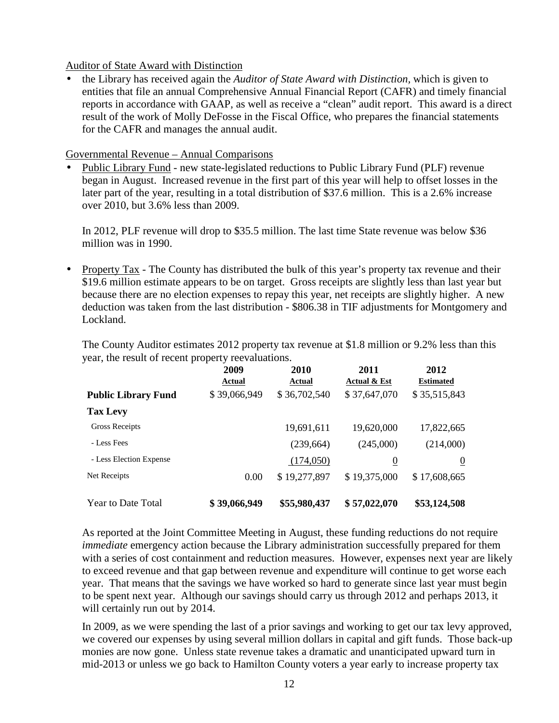## Auditor of State Award with Distinction

• the Library has received again the *Auditor of State Award with Distinction,* which is given to entities that file an annual Comprehensive Annual Financial Report (CAFR) and timely financial reports in accordance with GAAP, as well as receive a "clean" audit report. This award is a direct result of the work of Molly DeFosse in the Fiscal Office, who prepares the financial statements for the CAFR and manages the annual audit.

## Governmental Revenue – Annual Comparisons

• Public Library Fund - new state-legislated reductions to Public Library Fund (PLF) revenue began in August. Increased revenue in the first part of this year will help to offset losses in the later part of the year, resulting in a total distribution of \$37.6 million. This is a 2.6% increase over 2010, but 3.6% less than 2009.

In 2012, PLF revenue will drop to \$35.5 million. The last time State revenue was below \$36 million was in 1990.

• Property Tax - The County has distributed the bulk of this year's property tax revenue and their \$19.6 million estimate appears to be on target. Gross receipts are slightly less than last year but because there are no election expenses to repay this year, net receipts are slightly higher. A new deduction was taken from the last distribution - \$806.38 in TIF adjustments for Montgomery and Lockland.

The County Auditor estimates 2012 property tax revenue at \$1.8 million or 9.2% less than this year, the result of recent property reevaluations.

|                            | 2009<br><b>Actual</b> | 2010<br>Actual | 2011<br>Actual & Est | 2012<br><b>Estimated</b> |
|----------------------------|-----------------------|----------------|----------------------|--------------------------|
| <b>Public Library Fund</b> | \$39,066,949          | \$36,702,540   | \$37,647,070         | \$35,515,843             |
| <b>Tax Levy</b>            |                       |                |                      |                          |
| Gross Receipts             |                       | 19,691,611     | 19,620,000           | 17,822,665               |
| - Less Fees                |                       | (239, 664)     | (245,000)            | (214,000)                |
| - Less Election Expense    |                       | (174,050)      | $\overline{0}$       | $\overline{0}$           |
| Net Receipts               | 0.00                  | \$19,277,897   | \$19,375,000         | \$17,608,665             |
| Year to Date Total         | \$39,066,949          | \$55,980,437   | \$57,022,070         | \$53,124,508             |

As reported at the Joint Committee Meeting in August, these funding reductions do not require *immediate* emergency action because the Library administration successfully prepared for them with a series of cost containment and reduction measures. However, expenses next year are likely to exceed revenue and that gap between revenue and expenditure will continue to get worse each year. That means that the savings we have worked so hard to generate since last year must begin to be spent next year. Although our savings should carry us through 2012 and perhaps 2013, it will certainly run out by 2014.

In 2009, as we were spending the last of a prior savings and working to get our tax levy approved, we covered our expenses by using several million dollars in capital and gift funds. Those back-up monies are now gone. Unless state revenue takes a dramatic and unanticipated upward turn in mid-2013 or unless we go back to Hamilton County voters a year early to increase property tax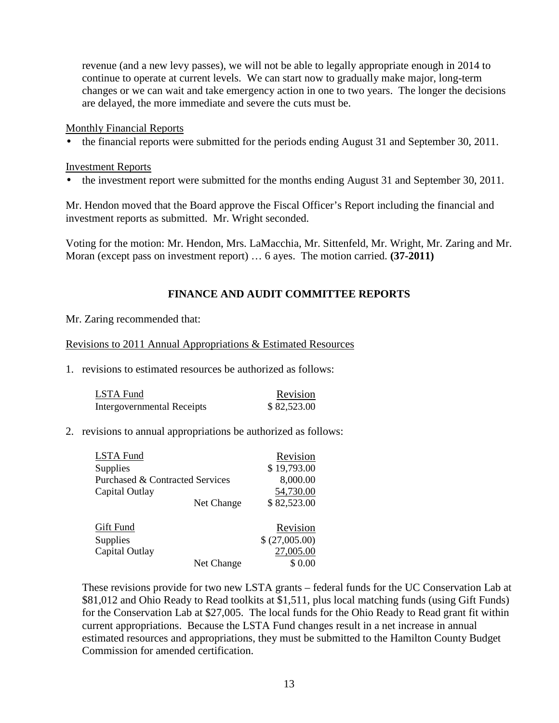revenue (and a new levy passes), we will not be able to legally appropriate enough in 2014 to continue to operate at current levels. We can start now to gradually make major, long-term changes or we can wait and take emergency action in one to two years. The longer the decisions are delayed, the more immediate and severe the cuts must be.

### Monthly Financial Reports

• the financial reports were submitted for the periods ending August 31 and September 30, 2011.

### Investment Reports

• the investment report were submitted for the months ending August 31 and September 30, 2011.

Mr. Hendon moved that the Board approve the Fiscal Officer's Report including the financial and investment reports as submitted. Mr. Wright seconded.

Voting for the motion: Mr. Hendon, Mrs. LaMacchia, Mr. Sittenfeld, Mr. Wright, Mr. Zaring and Mr. Moran (except pass on investment report) … 6 ayes. The motion carried. **(37-2011)** 

## **FINANCE AND AUDIT COMMITTEE REPORTS**

Mr. Zaring recommended that:

### Revisions to 2011 Annual Appropriations & Estimated Resources

1. revisions to estimated resources be authorized as follows:

| LSTA Fund                         | Revision    |
|-----------------------------------|-------------|
| <b>Intergovernmental Receipts</b> | \$82,523.00 |

## 2. revisions to annual appropriations be authorized as follows:

| <b>LSTA Fund</b>                           |            | Revision       |
|--------------------------------------------|------------|----------------|
| Supplies                                   |            | \$19,793.00    |
| <b>Purchased &amp; Contracted Services</b> |            | 8,000.00       |
| Capital Outlay                             |            | 54,730.00      |
|                                            | Net Change | \$82,523.00    |
| Gift Fund                                  |            | Revision       |
| Supplies                                   |            | \$ (27,005.00) |
| Capital Outlay                             |            | 27,005.00      |
|                                            | Net Change | \$0.00         |

These revisions provide for two new LSTA grants – federal funds for the UC Conservation Lab at \$81,012 and Ohio Ready to Read toolkits at \$1,511, plus local matching funds (using Gift Funds) for the Conservation Lab at \$27,005. The local funds for the Ohio Ready to Read grant fit within current appropriations. Because the LSTA Fund changes result in a net increase in annual estimated resources and appropriations, they must be submitted to the Hamilton County Budget Commission for amended certification.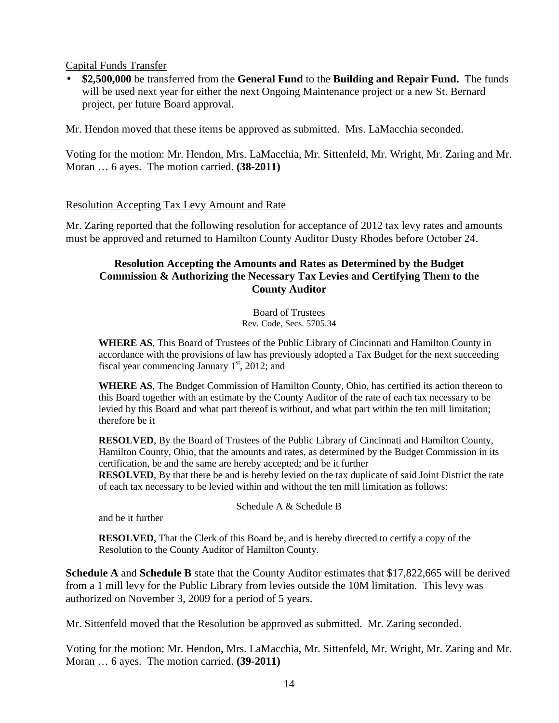Capital Funds Transfer

• **\$2,500,000** be transferred from the **General Fund** to the **Building and Repair Fund.** The funds will be used next year for either the next Ongoing Maintenance project or a new St. Bernard project, per future Board approval.

Mr. Hendon moved that these items be approved as submitted. Mrs. LaMacchia seconded.

Voting for the motion: Mr. Hendon, Mrs. LaMacchia, Mr. Sittenfeld, Mr. Wright, Mr. Zaring and Mr. Moran … 6 ayes. The motion carried. **(38-2011)**

### Resolution Accepting Tax Levy Amount and Rate

Mr. Zaring reported that the following resolution for acceptance of 2012 tax levy rates and amounts must be approved and returned to Hamilton County Auditor Dusty Rhodes before October 24.

## **Resolution Accepting the Amounts and Rates as Determined by the Budget Commission & Authorizing the Necessary Tax Levies and Certifying Them to the County Auditor**

Board of Trustees Rev. Code, Secs. 5705.34

**WHERE AS**, This Board of Trustees of the Public Library of Cincinnati and Hamilton County in accordance with the provisions of law has previously adopted a Tax Budget for the next succeeding fiscal year commencing January  $1<sup>st</sup>$ , 2012; and

**WHERE AS**, The Budget Commission of Hamilton County, Ohio, has certified its action thereon to this Board together with an estimate by the County Auditor of the rate of each tax necessary to be levied by this Board and what part thereof is without, and what part within the ten mill limitation; therefore be it

**RESOLVED**, By the Board of Trustees of the Public Library of Cincinnati and Hamilton County, Hamilton County, Ohio, that the amounts and rates, as determined by the Budget Commission in its certification, be and the same are hereby accepted; and be it further

**RESOLVED**, By that there be and is hereby levied on the tax duplicate of said Joint District the rate of each tax necessary to be levied within and without the ten mill limitation as follows:

#### Schedule A & Schedule B

and be it further

**RESOLVED**, That the Clerk of this Board be, and is hereby directed to certify a copy of the Resolution to the County Auditor of Hamilton County.

**Schedule A** and **Schedule B** state that the County Auditor estimates that \$17,822,665 will be derived from a 1 mill levy for the Public Library from levies outside the 10M limitation. This levy was authorized on November 3, 2009 for a period of 5 years.

Mr. Sittenfeld moved that the Resolution be approved as submitted. Mr. Zaring seconded.

Voting for the motion: Mr. Hendon, Mrs. LaMacchia, Mr. Sittenfeld, Mr. Wright, Mr. Zaring and Mr. Moran … 6 ayes. The motion carried. **(39-2011)**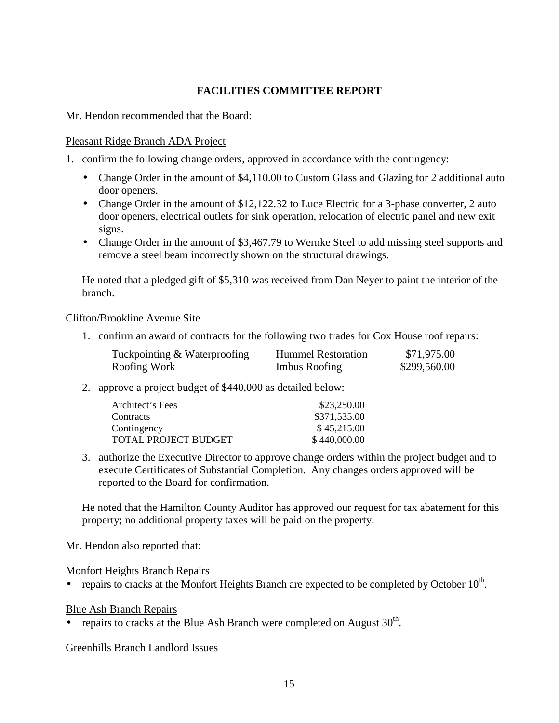# **FACILITIES COMMITTEE REPORT**

Mr. Hendon recommended that the Board:

## Pleasant Ridge Branch ADA Project

1. confirm the following change orders, approved in accordance with the contingency:

- Change Order in the amount of \$4,110.00 to Custom Glass and Glazing for 2 additional auto door openers.
- Change Order in the amount of \$12,122.32 to Luce Electric for a 3-phase converter, 2 auto door openers, electrical outlets for sink operation, relocation of electric panel and new exit signs.
- Change Order in the amount of \$3,467.79 to Wernke Steel to add missing steel supports and remove a steel beam incorrectly shown on the structural drawings.

He noted that a pledged gift of \$5,310 was received from Dan Neyer to paint the interior of the branch.

## Clifton/Brookline Avenue Site

1. confirm an award of contracts for the following two trades for Cox House roof repairs:

| Tuckpointing & Waterproofing | <b>Hummel Restoration</b> | \$71,975.00  |
|------------------------------|---------------------------|--------------|
| Roofing Work                 | Imbus Roofing             | \$299,560.00 |

2. approve a project budget of \$440,000 as detailed below:

| Architect's Fees     | \$23,250.00  |
|----------------------|--------------|
| Contracts            | \$371,535.00 |
| Contingency          | \$45,215.00  |
| TOTAL PROJECT BUDGET | \$440,000.00 |

3. authorize the Executive Director to approve change orders within the project budget and to execute Certificates of Substantial Completion. Any changes orders approved will be reported to the Board for confirmation.

He noted that the Hamilton County Auditor has approved our request for tax abatement for this property; no additional property taxes will be paid on the property.

Mr. Hendon also reported that:

Monfort Heights Branch Repairs

• repairs to cracks at the Monfort Heights Branch are expected to be completed by October  $10^{th}$ .

## Blue Ash Branch Repairs

• repairs to cracks at the Blue Ash Branch were completed on August  $30<sup>th</sup>$ .

## Greenhills Branch Landlord Issues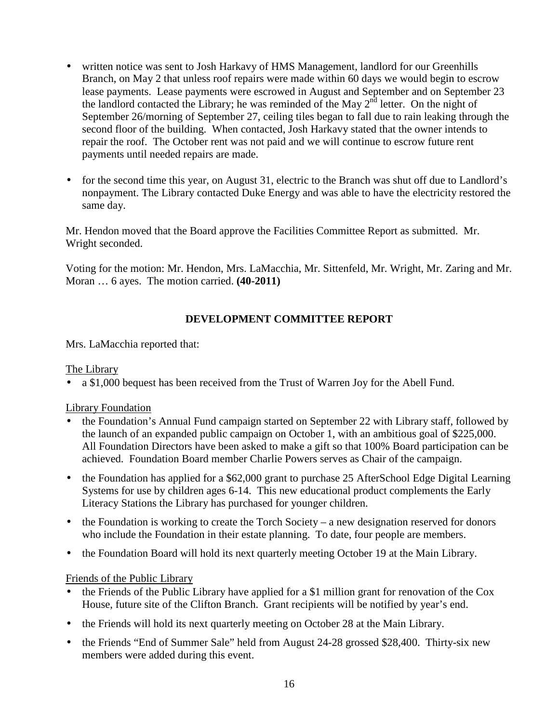- written notice was sent to Josh Harkavy of HMS Management, landlord for our Greenhills Branch, on May 2 that unless roof repairs were made within 60 days we would begin to escrow lease payments. Lease payments were escrowed in August and September and on September 23 the landlord contacted the Library; he was reminded of the May  $2^{nd}$  letter. On the night of September 26/morning of September 27, ceiling tiles began to fall due to rain leaking through the second floor of the building. When contacted, Josh Harkavy stated that the owner intends to repair the roof. The October rent was not paid and we will continue to escrow future rent payments until needed repairs are made.
- for the second time this year, on August 31, electric to the Branch was shut off due to Landlord's nonpayment. The Library contacted Duke Energy and was able to have the electricity restored the same day.

Mr. Hendon moved that the Board approve the Facilities Committee Report as submitted. Mr. Wright seconded.

Voting for the motion: Mr. Hendon, Mrs. LaMacchia, Mr. Sittenfeld, Mr. Wright, Mr. Zaring and Mr. Moran … 6 ayes. The motion carried. **(40-2011)**

# **DEVELOPMENT COMMITTEE REPORT**

Mrs. LaMacchia reported that:

## The Library

• a \$1,000 bequest has been received from the Trust of Warren Joy for the Abell Fund.

## Library Foundation

- the Foundation's Annual Fund campaign started on September 22 with Library staff, followed by the launch of an expanded public campaign on October 1, with an ambitious goal of \$225,000. All Foundation Directors have been asked to make a gift so that 100% Board participation can be achieved. Foundation Board member Charlie Powers serves as Chair of the campaign.
- the Foundation has applied for a \$62,000 grant to purchase 25 AfterSchool Edge Digital Learning Systems for use by children ages 6-14. This new educational product complements the Early Literacy Stations the Library has purchased for younger children.
- the Foundation is working to create the Torch Society a new designation reserved for donors who include the Foundation in their estate planning. To date, four people are members.
- the Foundation Board will hold its next quarterly meeting October 19 at the Main Library.

## Friends of the Public Library

- the Friends of the Public Library have applied for a \$1 million grant for renovation of the Cox House, future site of the Clifton Branch. Grant recipients will be notified by year's end.
- the Friends will hold its next quarterly meeting on October 28 at the Main Library.
- the Friends "End of Summer Sale" held from August 24-28 grossed \$28,400. Thirty-six new members were added during this event.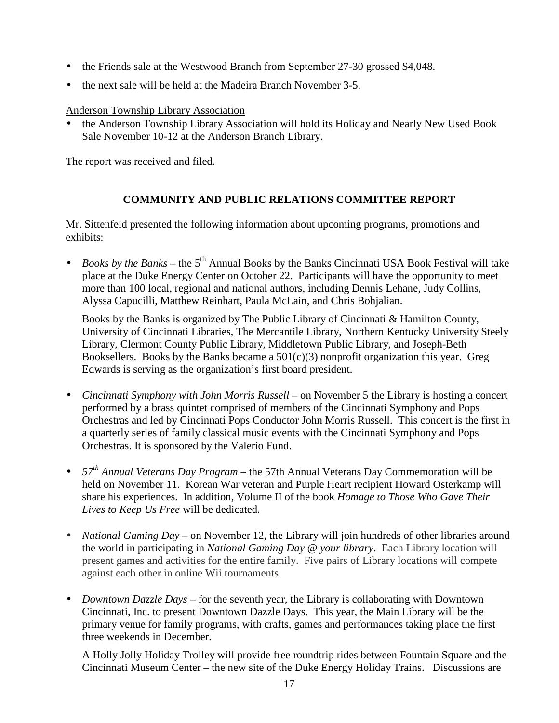- the Friends sale at the Westwood Branch from September 27-30 grossed \$4,048.
- the next sale will be held at the Madeira Branch November 3-5.

Anderson Township Library Association

• the Anderson Township Library Association will hold its Holiday and Nearly New Used Book Sale November 10-12 at the Anderson Branch Library.

The report was received and filed.

# **COMMUNITY AND PUBLIC RELATIONS COMMITTEE REPORT**

Mr. Sittenfeld presented the following information about upcoming programs, promotions and exhibits:

• *Books by the Banks* – the 5<sup>th</sup> Annual Books by the Banks Cincinnati USA Book Festival will take place at the Duke Energy Center on October 22. Participants will have the opportunity to meet more than 100 local, regional and national authors, including Dennis Lehane, Judy Collins, Alyssa Capucilli, Matthew Reinhart, Paula McLain, and Chris Bohjalian.

Books by the Banks is organized by The Public Library of Cincinnati & Hamilton County, University of Cincinnati Libraries, The Mercantile Library, Northern Kentucky University Steely Library, Clermont County Public Library, Middletown Public Library, and Joseph-Beth Booksellers. Books by the Banks became a  $501(c)(3)$  nonprofit organization this year. Greg Edwards is serving as the organization's first board president.

- *Cincinnati Symphony with John Morris Russell* on November 5 the Library is hosting a concert performed by a brass quintet comprised of members of the Cincinnati Symphony and Pops Orchestras and led by Cincinnati Pops Conductor John Morris Russell. This concert is the first in a quarterly series of family classical music events with the Cincinnati Symphony and Pops Orchestras. It is sponsored by the Valerio Fund.
- *57th Annual Veterans Day Program*  the 57th Annual Veterans Day Commemoration will be held on November 11. Korean War veteran and Purple Heart recipient Howard Osterkamp will share his experiences. In addition, Volume II of the book *Homage to Those Who Gave Their Lives to Keep Us Free* will be dedicated*.*
- *National Gaming Day* on November 12, the Library will join hundreds of other libraries around the world in participating in *National Gaming Day @ your library*. Each Library location will present games and activities for the entire family. Five pairs of Library locations will compete against each other in online Wii tournaments.
- *Downtown Dazzle Days* for the seventh year, the Library is collaborating with Downtown Cincinnati, Inc. to present Downtown Dazzle Days. This year, the Main Library will be the primary venue for family programs, with crafts, games and performances taking place the first three weekends in December.

A Holly Jolly Holiday Trolley will provide free roundtrip rides between Fountain Square and the Cincinnati Museum Center – the new site of the Duke Energy Holiday Trains. Discussions are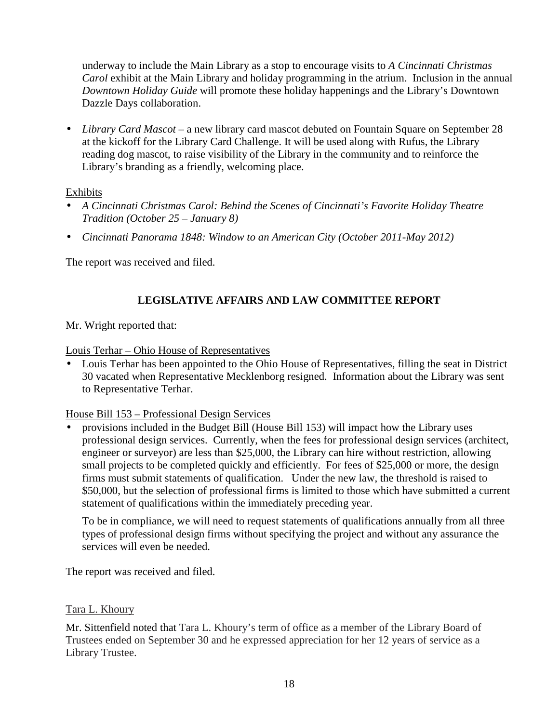underway to include the Main Library as a stop to encourage visits to *A Cincinnati Christmas Carol* exhibit at the Main Library and holiday programming in the atrium. Inclusion in the annual *Downtown Holiday Guide* will promote these holiday happenings and the Library's Downtown Dazzle Days collaboration.

• *Library Card Mascot* – a new library card mascot debuted on Fountain Square on September 28 at the kickoff for the Library Card Challenge. It will be used along with Rufus, the Library reading dog mascot, to raise visibility of the Library in the community and to reinforce the Library's branding as a friendly, welcoming place.

## Exhibits

- *A Cincinnati Christmas Carol: Behind the Scenes of Cincinnati's Favorite Holiday Theatre Tradition (October 25 – January 8)*
- *Cincinnati Panorama 1848: Window to an American City (October 2011-May 2012)*

The report was received and filed.

# **LEGISLATIVE AFFAIRS AND LAW COMMITTEE REPORT**

Mr. Wright reported that:

Louis Terhar – Ohio House of Representatives

• Louis Terhar has been appointed to the Ohio House of Representatives, filling the seat in District 30 vacated when Representative Mecklenborg resigned. Information about the Library was sent to Representative Terhar.

## House Bill 153 – Professional Design Services

• provisions included in the Budget Bill (House Bill 153) will impact how the Library uses professional design services. Currently, when the fees for professional design services (architect, engineer or surveyor) are less than \$25,000, the Library can hire without restriction, allowing small projects to be completed quickly and efficiently. For fees of \$25,000 or more, the design firms must submit statements of qualification. Under the new law, the threshold is raised to \$50,000, but the selection of professional firms is limited to those which have submitted a current statement of qualifications within the immediately preceding year.

To be in compliance, we will need to request statements of qualifications annually from all three types of professional design firms without specifying the project and without any assurance the services will even be needed.

The report was received and filed.

## Tara L. Khoury

Mr. Sittenfield noted that Tara L. Khoury's term of office as a member of the Library Board of Trustees ended on September 30 and he expressed appreciation for her 12 years of service as a Library Trustee.